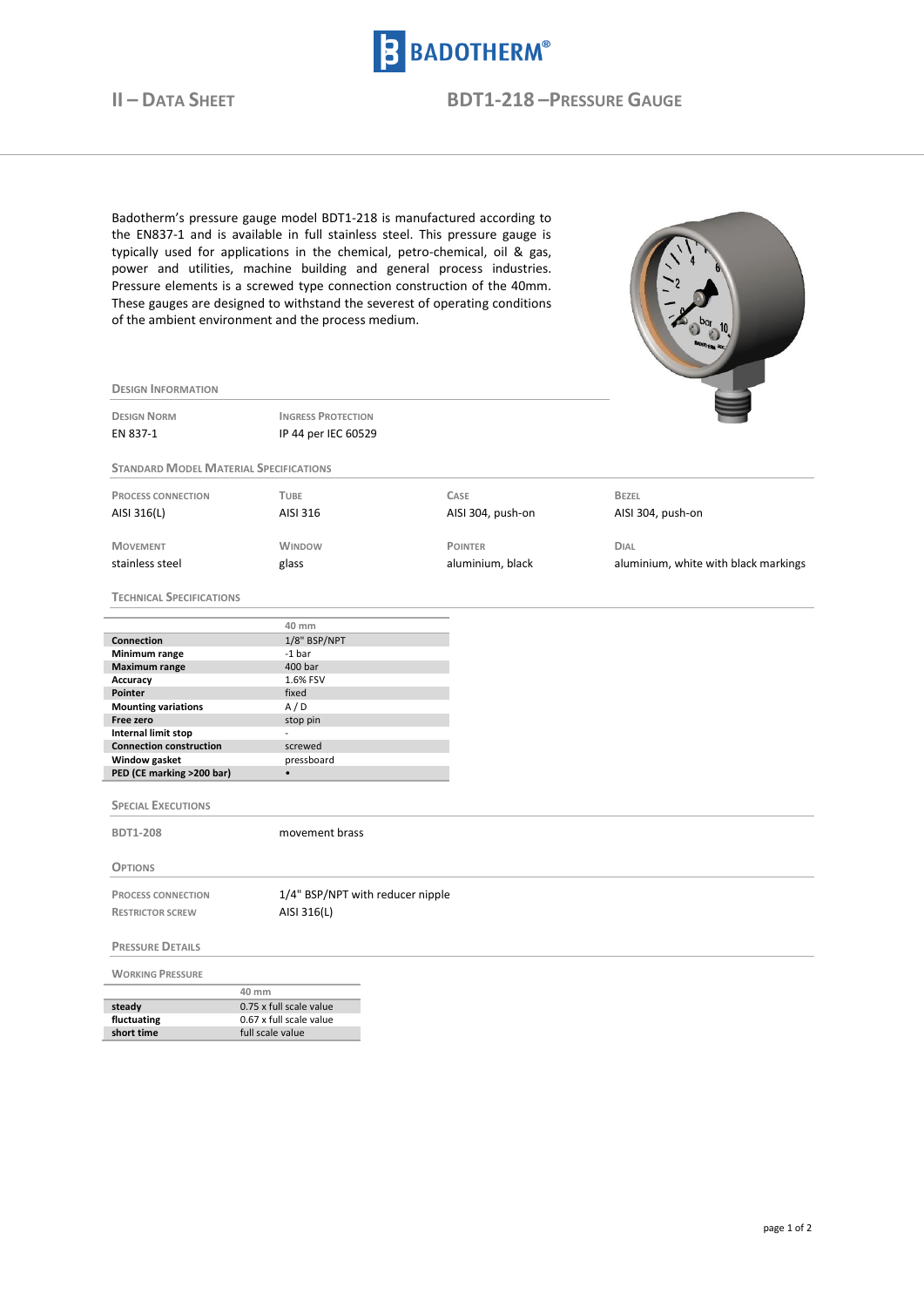

**DESIGN INFORMATION**

**II – DATA SHEET BDT1-218 –PRESSURE GAUGE**

Badotherm's pressure gauge model BDT1-218 is manufactured according to the EN837-1 and is available in full stainless steel. This pressure gauge is typically used for applications in the chemical, petro-chemical, oil & gas, power and utilities, machine building and general process industries. Pressure elements is a screwed type connection construction of the 40mm. These gauges are designed to withstand the severest of operating conditions of the ambient environment and the process medium.



| <b>DESIGN NORM</b><br>EN 837-1                | <b>INGRESS PROTECTION</b><br>IP 44 per IEC 60529 |                   |                                      |
|-----------------------------------------------|--------------------------------------------------|-------------------|--------------------------------------|
| <b>STANDARD MODEL MATERIAL SPECIFICATIONS</b> |                                                  |                   |                                      |
|                                               |                                                  |                   |                                      |
| <b>PROCESS CONNECTION</b>                     | <b>TUBE</b>                                      | CASE              | <b>BEZEL</b>                         |
| AISI 316(L)                                   | AISI 316                                         | AISI 304, push-on | AISI 304, push-on                    |
| <b>MOVEMENT</b>                               | <b>WINDOW</b>                                    | <b>POINTER</b>    | <b>DIAL</b>                          |
| stainless steel                               | glass                                            | aluminium, black  | aluminium, white with black markings |
| <b>TECHNICAL SPECIFICATIONS</b>               |                                                  |                   |                                      |
|                                               | 40 mm                                            |                   |                                      |
| Connection                                    | 1/8" BSP/NPT                                     |                   |                                      |
| Minimum range                                 | $-1bar$                                          |                   |                                      |
| <b>Maximum range</b><br>Accuracy              | 400 bar<br>1.6% FSV                              |                   |                                      |
| Pointer                                       | fixed                                            |                   |                                      |
| <b>Mounting variations</b>                    | A/D                                              |                   |                                      |
| Free zero                                     | stop pin                                         |                   |                                      |
| Internal limit stop                           | $\overline{a}$                                   |                   |                                      |
| <b>Connection construction</b>                | screwed                                          |                   |                                      |
| Window gasket                                 | pressboard                                       |                   |                                      |
| PED (CE marking >200 bar)                     | $\bullet$                                        |                   |                                      |
| <b>SPECIAL EXECUTIONS</b>                     |                                                  |                   |                                      |
|                                               |                                                  |                   |                                      |
| <b>BDT1-208</b>                               | movement brass                                   |                   |                                      |
| <b>OPTIONS</b>                                |                                                  |                   |                                      |
| <b>PROCESS CONNECTION</b>                     | 1/4" BSP/NPT with reducer nipple                 |                   |                                      |
| <b>RESTRICTOR SCREW</b>                       | AISI 316(L)                                      |                   |                                      |
| <b>PRESSURE DETAILS</b>                       |                                                  |                   |                                      |
| <b>WORKING PRESSURE</b>                       |                                                  |                   |                                      |
|                                               | 40 mm                                            |                   |                                      |
| steady                                        | 0.75 x full scale value                          |                   |                                      |
| fluctuating                                   | 0.67 x full scale value                          |                   |                                      |
| short time                                    | full scale value                                 |                   |                                      |